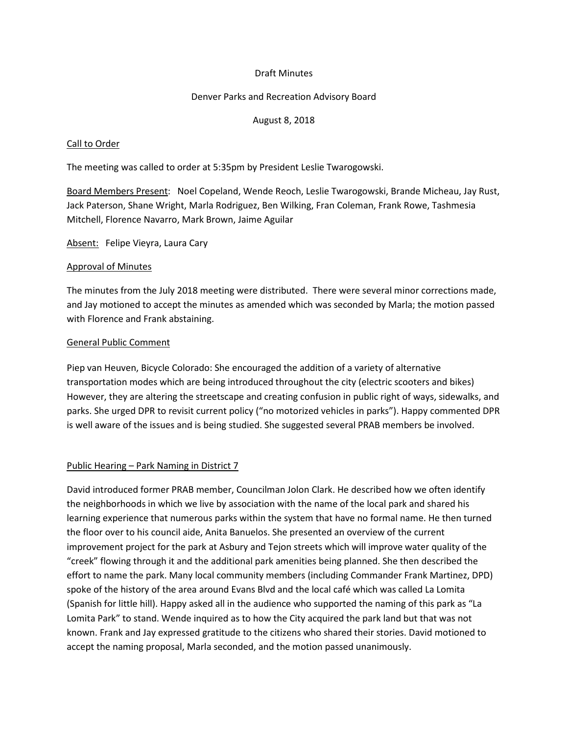# Draft Minutes

## Denver Parks and Recreation Advisory Board

## August 8, 2018

### Call to Order

The meeting was called to order at 5:35pm by President Leslie Twarogowski.

Board Members Present: Noel Copeland, Wende Reoch, Leslie Twarogowski, Brande Micheau, Jay Rust, Jack Paterson, Shane Wright, Marla Rodriguez, Ben Wilking, Fran Coleman, Frank Rowe, Tashmesia Mitchell, Florence Navarro, Mark Brown, Jaime Aguilar

Absent: Felipe Vieyra, Laura Cary

#### Approval of Minutes

The minutes from the July 2018 meeting were distributed. There were several minor corrections made, and Jay motioned to accept the minutes as amended which was seconded by Marla; the motion passed with Florence and Frank abstaining.

## General Public Comment

Piep van Heuven, Bicycle Colorado: She encouraged the addition of a variety of alternative transportation modes which are being introduced throughout the city (electric scooters and bikes) However, they are altering the streetscape and creating confusion in public right of ways, sidewalks, and parks. She urged DPR to revisit current policy ("no motorized vehicles in parks"). Happy commented DPR is well aware of the issues and is being studied. She suggested several PRAB members be involved.

# Public Hearing – Park Naming in District 7

David introduced former PRAB member, Councilman Jolon Clark. He described how we often identify the neighborhoods in which we live by association with the name of the local park and shared his learning experience that numerous parks within the system that have no formal name. He then turned the floor over to his council aide, Anita Banuelos. She presented an overview of the current improvement project for the park at Asbury and Tejon streets which will improve water quality of the "creek" flowing through it and the additional park amenities being planned. She then described the effort to name the park. Many local community members (including Commander Frank Martinez, DPD) spoke of the history of the area around Evans Blvd and the local café which was called La Lomita (Spanish for little hill). Happy asked all in the audience who supported the naming of this park as "La Lomita Park" to stand. Wende inquired as to how the City acquired the park land but that was not known. Frank and Jay expressed gratitude to the citizens who shared their stories. David motioned to accept the naming proposal, Marla seconded, and the motion passed unanimously.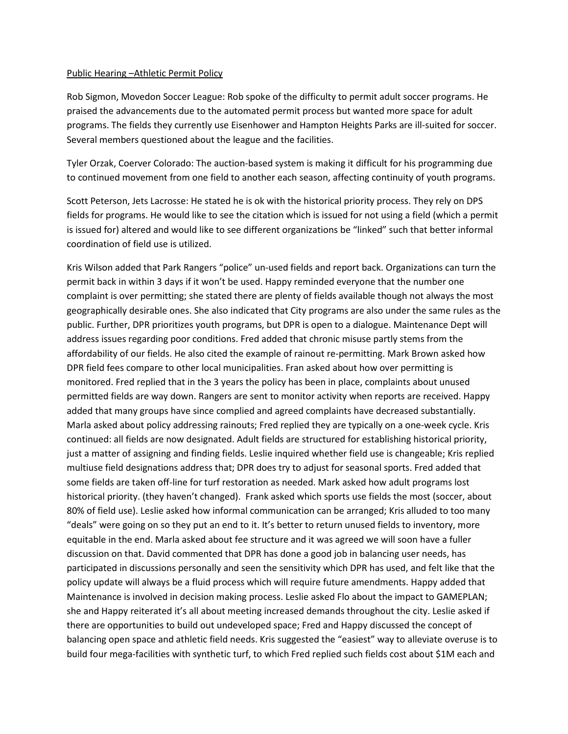#### Public Hearing –Athletic Permit Policy

Rob Sigmon, Movedon Soccer League: Rob spoke of the difficulty to permit adult soccer programs. He praised the advancements due to the automated permit process but wanted more space for adult programs. The fields they currently use Eisenhower and Hampton Heights Parks are ill-suited for soccer. Several members questioned about the league and the facilities.

Tyler Orzak, Coerver Colorado: The auction-based system is making it difficult for his programming due to continued movement from one field to another each season, affecting continuity of youth programs.

Scott Peterson, Jets Lacrosse: He stated he is ok with the historical priority process. They rely on DPS fields for programs. He would like to see the citation which is issued for not using a field (which a permit is issued for) altered and would like to see different organizations be "linked" such that better informal coordination of field use is utilized.

Kris Wilson added that Park Rangers "police" un-used fields and report back. Organizations can turn the permit back in within 3 days if it won't be used. Happy reminded everyone that the number one complaint is over permitting; she stated there are plenty of fields available though not always the most geographically desirable ones. She also indicated that City programs are also under the same rules as the public. Further, DPR prioritizes youth programs, but DPR is open to a dialogue. Maintenance Dept will address issues regarding poor conditions. Fred added that chronic misuse partly stems from the affordability of our fields. He also cited the example of rainout re-permitting. Mark Brown asked how DPR field fees compare to other local municipalities. Fran asked about how over permitting is monitored. Fred replied that in the 3 years the policy has been in place, complaints about unused permitted fields are way down. Rangers are sent to monitor activity when reports are received. Happy added that many groups have since complied and agreed complaints have decreased substantially. Marla asked about policy addressing rainouts; Fred replied they are typically on a one-week cycle. Kris continued: all fields are now designated. Adult fields are structured for establishing historical priority, just a matter of assigning and finding fields. Leslie inquired whether field use is changeable; Kris replied multiuse field designations address that; DPR does try to adjust for seasonal sports. Fred added that some fields are taken off-line for turf restoration as needed. Mark asked how adult programs lost historical priority. (they haven't changed). Frank asked which sports use fields the most (soccer, about 80% of field use). Leslie asked how informal communication can be arranged; Kris alluded to too many "deals" were going on so they put an end to it. It's better to return unused fields to inventory, more equitable in the end. Marla asked about fee structure and it was agreed we will soon have a fuller discussion on that. David commented that DPR has done a good job in balancing user needs, has participated in discussions personally and seen the sensitivity which DPR has used, and felt like that the policy update will always be a fluid process which will require future amendments. Happy added that Maintenance is involved in decision making process. Leslie asked Flo about the impact to GAMEPLAN; she and Happy reiterated it's all about meeting increased demands throughout the city. Leslie asked if there are opportunities to build out undeveloped space; Fred and Happy discussed the concept of balancing open space and athletic field needs. Kris suggested the "easiest" way to alleviate overuse is to build four mega-facilities with synthetic turf, to which Fred replied such fields cost about \$1M each and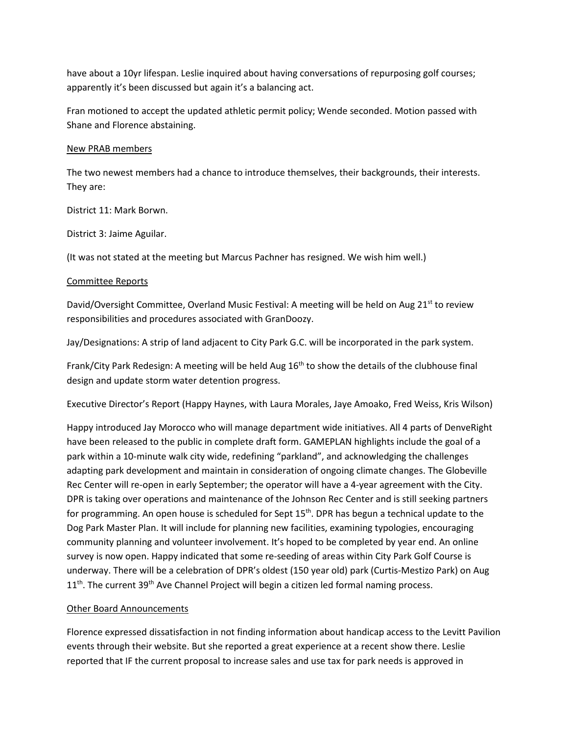have about a 10yr lifespan. Leslie inquired about having conversations of repurposing golf courses; apparently it's been discussed but again it's a balancing act.

Fran motioned to accept the updated athletic permit policy; Wende seconded. Motion passed with Shane and Florence abstaining.

# New PRAB members

The two newest members had a chance to introduce themselves, their backgrounds, their interests. They are:

District 11: Mark Borwn.

District 3: Jaime Aguilar.

(It was not stated at the meeting but Marcus Pachner has resigned. We wish him well.)

## Committee Reports

David/Oversight Committee, Overland Music Festival: A meeting will be held on Aug 21<sup>st</sup> to review responsibilities and procedures associated with GranDoozy.

Jay/Designations: A strip of land adjacent to City Park G.C. will be incorporated in the park system.

Frank/City Park Redesign: A meeting will be held Aug  $16<sup>th</sup>$  to show the details of the clubhouse final design and update storm water detention progress.

Executive Director's Report (Happy Haynes, with Laura Morales, Jaye Amoako, Fred Weiss, Kris Wilson)

Happy introduced Jay Morocco who will manage department wide initiatives. All 4 parts of DenveRight have been released to the public in complete draft form. GAMEPLAN highlights include the goal of a park within a 10-minute walk city wide, redefining "parkland", and acknowledging the challenges adapting park development and maintain in consideration of ongoing climate changes. The Globeville Rec Center will re-open in early September; the operator will have a 4-year agreement with the City. DPR is taking over operations and maintenance of the Johnson Rec Center and is still seeking partners for programming. An open house is scheduled for Sept  $15<sup>th</sup>$ . DPR has begun a technical update to the Dog Park Master Plan. It will include for planning new facilities, examining typologies, encouraging community planning and volunteer involvement. It's hoped to be completed by year end. An online survey is now open. Happy indicated that some re-seeding of areas within City Park Golf Course is underway. There will be a celebration of DPR's oldest (150 year old) park (Curtis-Mestizo Park) on Aug  $11<sup>th</sup>$ . The current 39<sup>th</sup> Ave Channel Project will begin a citizen led formal naming process.

# Other Board Announcements

Florence expressed dissatisfaction in not finding information about handicap access to the Levitt Pavilion events through their website. But she reported a great experience at a recent show there. Leslie reported that IF the current proposal to increase sales and use tax for park needs is approved in